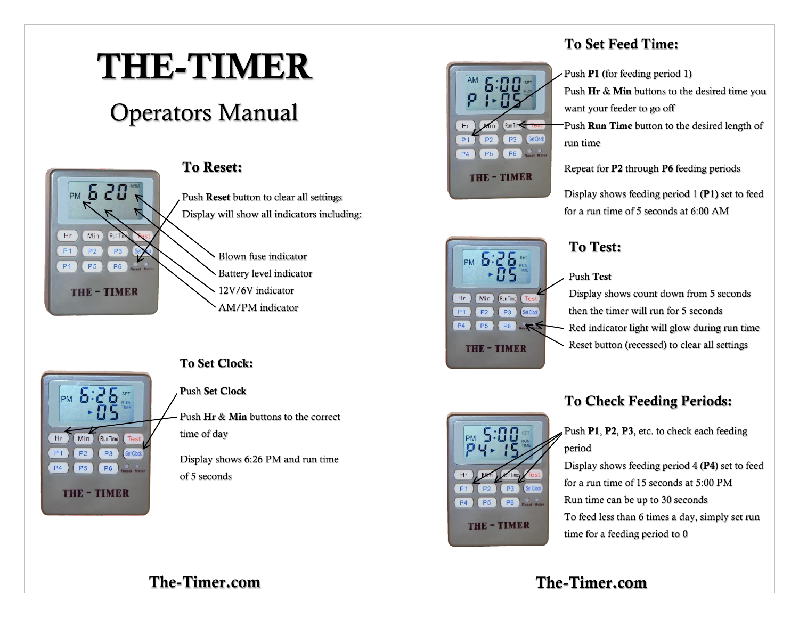# **THE-TIMER**

## Operators Manual



PM hir

 $Min$ 

**P5** 

**THE-TIMER** 

Run Time

 $P3$ 

**P6** 

 $Hr$ 

 $P<sub>1</sub>$ 

**P4** 

### **To Reset:**

Push **Reset** button to clear all settings Display will show all indicators including:

> Blown fuse indicator Battery level indicator 12V/6V indicator AM/PM indicator

### **To Set Clock:**

**P**ush **Set Clock**

Push **Hr** & **Min** buttons to the correct time of day

Display shows 6:26 PM and run time of 5 seconds



### **To Set Feed Time:**

Push **P1** (for feeding period 1) Push **Hr** & **Min** buttons to the desired time you want your feeder to go off Push **Run Time** button to the desired length of run time Repeat for **P2** through **P6** feeding periods

Display shows feeding period 1 (**P1**) set to feed for a run time of 5 seconds at 6:00 AM



### **To Test:**

Push **Test**

Display shows count down from 5 seconds then the timer will run for 5 seconds Red indicator light will glow during run time Reset button (recessed) to clear all settings



### **To Check Feeding Periods:**

Push **P1**, **P2**, **P3**, etc. to check each feeding period

Display shows feeding period 4 (**P4**) set to feed for a run time of 15 seconds at 5:00 PM Run time can be up to 30 seconds To feed less than 6 times a day, simply set run time for a feeding period to 0

### **The-Timer.com The-Timer.com**